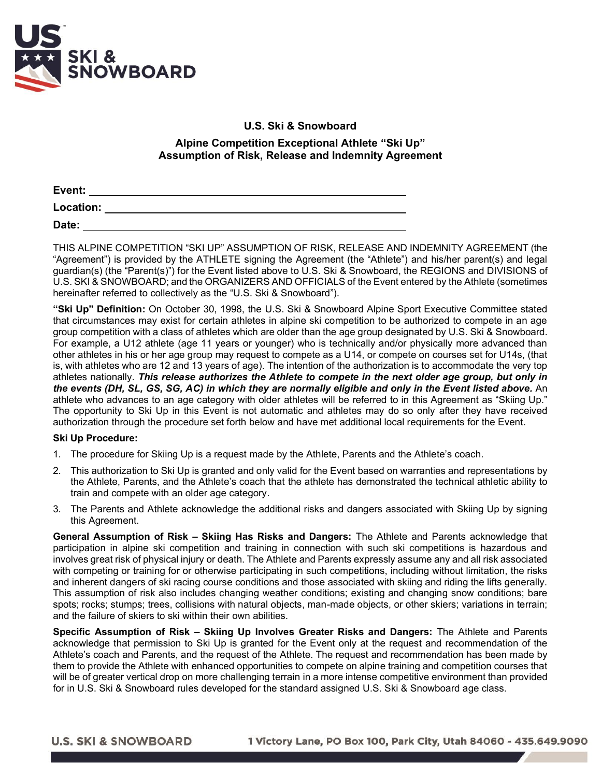

## **U.S. Ski & Snowboard**

## **Alpine Competition Exceptional Athlete "Ski Up" Assumption of Risk, Release and Indemnity Agreement**

| Event:           |  |  |
|------------------|--|--|
| <b>Location:</b> |  |  |
| Date:            |  |  |

THIS ALPINE COMPETITION "SKI UP" ASSUMPTION OF RISK, RELEASE AND INDEMNITY AGREEMENT (the "Agreement") is provided by the ATHLETE signing the Agreement (the "Athlete") and his/her parent(s) and legal guardian(s) (the "Parent(s)") for the Event listed above to U.S. Ski & Snowboard, the REGIONS and DIVISIONS of U.S. SKI & SNOWBOARD; and the ORGANIZERS AND OFFICIALS of the Event entered by the Athlete (sometimes hereinafter referred to collectively as the "U.S. Ski & Snowboard").

**"Ski Up" Definition:** On October 30, 1998, the U.S. Ski & Snowboard Alpine Sport Executive Committee stated that circumstances may exist for certain athletes in alpine ski competition to be authorized to compete in an age group competition with a class of athletes which are older than the age group designated by U.S. Ski & Snowboard. For example, a U12 athlete (age 11 years or younger) who is technically and/or physically more advanced than other athletes in his or her age group may request to compete as a U14, or compete on courses set for U14s, (that is, with athletes who are 12 and 13 years of age). The intention of the authorization is to accommodate the very top athletes nationally. *This release authorizes the Athlete to compete in the next older age group, but only in the events (DH, SL, GS, SG, AC) in which they are normally eligible and only in the Event listed above.* An athlete who advances to an age category with older athletes will be referred to in this Agreement as "Skiing Up." The opportunity to Ski Up in this Event is not automatic and athletes may do so only after they have received authorization through the procedure set forth below and have met additional local requirements for the Event.

## **Ski Up Procedure:**

- 1. The procedure for Skiing Up is a request made by the Athlete, Parents and the Athlete's coach.
- 2. This authorization to Ski Up is granted and only valid for the Event based on warranties and representations by the Athlete, Parents, and the Athlete's coach that the athlete has demonstrated the technical athletic ability to train and compete with an older age category.
- 3. The Parents and Athlete acknowledge the additional risks and dangers associated with Skiing Up by signing this Agreement.

**General Assumption of Risk – Skiing Has Risks and Dangers:** The Athlete and Parents acknowledge that participation in alpine ski competition and training in connection with such ski competitions is hazardous and involves great risk of physical injury or death. The Athlete and Parents expressly assume any and all risk associated with competing or training for or otherwise participating in such competitions, including without limitation, the risks and inherent dangers of ski racing course conditions and those associated with skiing and riding the lifts generally. This assumption of risk also includes changing weather conditions; existing and changing snow conditions; bare spots; rocks; stumps; trees, collisions with natural objects, man-made objects, or other skiers; variations in terrain; and the failure of skiers to ski within their own abilities.

**Specific Assumption of Risk – Skiing Up Involves Greater Risks and Dangers:** The Athlete and Parents acknowledge that permission to Ski Up is granted for the Event only at the request and recommendation of the Athlete's coach and Parents, and the request of the Athlete. The request and recommendation has been made by them to provide the Athlete with enhanced opportunities to compete on alpine training and competition courses that will be of greater vertical drop on more challenging terrain in a more intense competitive environment than provided for in U.S. Ski & Snowboard rules developed for the standard assigned U.S. Ski & Snowboard age class.